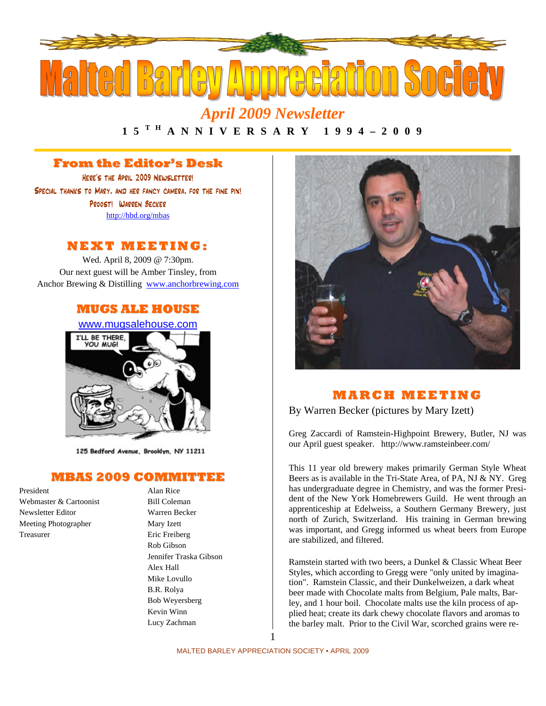

# *April 2009 Newsletter*

**1 5 T H A N N I V E R S A R Y 1 9 9 4 – 2 0 0 9** 

# **From the Editor's Desk**

Here's the April 2009 Newsletter! Special thanks to Mary, and her fancy camera, for the fine pix! Proost! Warren Becker http://hbd.org/mbas

## **NEXT MEETI NG:**

Wed. April 8, 2009 @ 7:30pm. Our next guest will be Amber Tinsley, from Anchor Brewing & Distilling www.anchorbrewing.com

## **MUGS ALE HOUSE**

www.mugsalehouse.com



125 Bedford Avenue, Brooklyn, NY 11211

### **MBAS 2009 COMMITTEE**

President Alan Rice Webmaster & Cartoonist Bill Coleman Newsletter Editor Warren Becker Meeting Photographer Mary Izett Treasurer Eric Freiberg

Rob Gibson Jennifer Traska Gibson Alex Hall Mike Lovullo B.R. Rolya Bob Weyersberg Kevin Winn Lucy Zachman



# **MAR C H MEETI N G**

By Warren Becker (pictures by Mary Izett)

Greg Zaccardi of Ramstein-Highpoint Brewery, Butler, NJ was our April guest speaker. http://www.ramsteinbeer.com/

This 11 year old brewery makes primarily German Style Wheat Beers as is available in the Tri-State Area, of PA, NJ & NY. Greg has undergraduate degree in Chemistry, and was the former President of the New York Homebrewers Guild. He went through an apprenticeship at Edelweiss, a Southern Germany Brewery, just north of Zurich, Switzerland. His training in German brewing was important, and Gregg informed us wheat beers from Europe are stabilized, and filtered.

Ramstein started with two beers, a Dunkel & Classic Wheat Beer Styles, which according to Gregg were "only united by imagination". Ramstein Classic, and their Dunkelweizen, a dark wheat beer made with Chocolate malts from Belgium, Pale malts, Barley, and 1 hour boil. Chocolate malts use the kiln process of applied heat; create its dark chewy chocolate flavors and aromas to the barley malt. Prior to the Civil War, scorched grains were re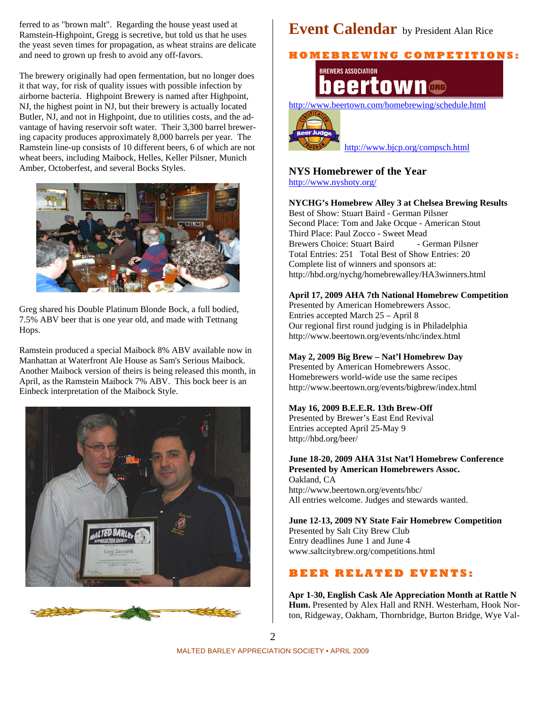ferred to as "brown malt". Regarding the house yeast used at Ramstein-Highpoint, Gregg is secretive, but told us that he uses the yeast seven times for propagation, as wheat strains are delicate and need to grown up fresh to avoid any off-favors.

The brewery originally had open fermentation, but no longer does it that way, for risk of quality issues with possible infection by airborne bacteria. Highpoint Brewery is named after Highpoint, NJ, the highest point in NJ, but their brewery is actually located Butler, NJ, and not in Highpoint, due to utilities costs, and the advantage of having reservoir soft water. Their 3,300 barrel brewering capacity produces approximately 8,000 barrels per year. The Ramstein line-up consists of 10 different beers, 6 of which are not wheat beers, including Maibock, Helles, Keller Pilsner, Munich Amber, Octoberfest, and several Bocks Styles.



Greg shared his Double Platinum Blonde Bock, a full bodied, 7.5% ABV beer that is one year old, and made with Tettnang Hops.

Ramstein produced a special Maibock 8% ABV available now in Manhattan at Waterfront Ale House as Sam's Serious Maibock. Another Maibock version of theirs is being released this month, in April, as the Ramstein Maibock 7% ABV. This bock beer is an Einbeck interpretation of the Maibock Style.





# **Event Calendar** by President Alan Rice

**H O M E B R E WI N G C O M P E TI TI O N S:**



http://www.beertown.com/homebrewing/schedule.html



http://www.bjcp.org/compsch.html

#### **NYS Homebrewer of the Year**  http://www.nyshoty.org/

**NYCHG's Homebrew Alley 3 at Chelsea Brewing Results**  Best of Show: Stuart Baird - German Pilsner Second Place: Tom and Jake Ocque - American Stout Third Place: Paul Zocco - Sweet Mead Brewers Choice: Stuart Baird - German Pilsner Total Entries: 251 Total Best of Show Entries: 20 Complete list of winners and sponsors at: http://hbd.org/nychg/homebrewalley/HA3winners.html

### **April 17, 2009 AHA 7th National Homebrew Competition**

Presented by American Homebrewers Assoc. Entries accepted March 25 – April 8 Our regional first round judging is in Philadelphia http://www.beertown.org/events/nhc/index.html

#### **May 2, 2009 Big Brew – Nat'l Homebrew Day**

Presented by American Homebrewers Assoc. Homebrewers world-wide use the same recipes http://www.beertown.org/events/bigbrew/index.html

#### **May 16, 2009 B.E.E.R. 13th Brew-Off**

Presented by Brewer's East End Revival Entries accepted April 25-May 9 http://hbd.org/beer/

#### **June 18-20, 2009 AHA 31st Nat'l Homebrew Conference Presented by American Homebrewers Assoc.**  Oakland, CA

http://www.beertown.org/events/hbc/ All entries welcome. Judges and stewards wanted.

## **June 12-13, 2009 NY State Fair Homebrew Competition**

Presented by Salt City Brew Club Entry deadlines June 1 and June 4 www.saltcitybrew.org/competitions.html

# **B E E R R E L A T E D E V E N T S:**

**Apr 1-30, English Cask Ale Appreciation Month at Rattle N Hum.** Presented by Alex Hall and RNH. Westerham, Hook Norton, Ridgeway, Oakham, Thornbridge, Burton Bridge, Wye Val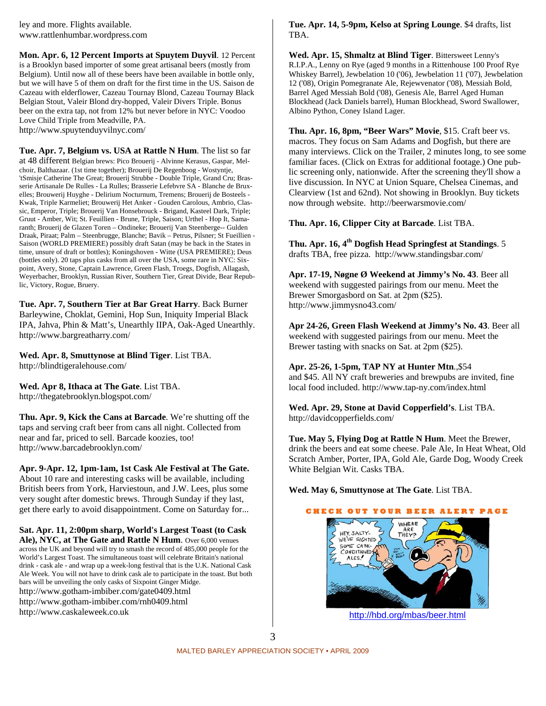ley and more. Flights available. www.rattlenhumbar.wordpress.com

**Mon. Apr. 6, 12 Percent Imports at Spuytem Duyvil**. 12 Percent is a Brooklyn based importer of some great artisanal beers (mostly from Belgium). Until now all of these beers have been available in bottle only, but we will have 5 of them on draft for the first time in the US. Saison de Cazeau with elderflower, Cazeau Tournay Blond, Cazeau Tournay Black Belgian Stout, Valeir Blond dry-hopped, Valeir Divers Triple. Bonus beer on the extra tap, not from 12% but never before in NYC: Voodoo Love Child Triple from Meadville, PA. http://www.spuytenduyvilnyc.com/

**Tue. Apr. 7, Belgium vs. USA at Rattle N Hum**. The list so far at 48 different Belgian brews: Pico Brouerij - Alvinne Kerasus, Gaspar, Melchoir, Balthazaar. (1st time together); Brouerij De Regenboog - Wostyntje, 'tSmisje Catherine The Great; Brouerij Strubbe - Double Triple, Grand Cru; Brasserie Artisanale De Rulles - La Rulles; Brasserie Lefebvre SA - Blanche de Bruxelles; Brouwerij Huyghe - Delirium Nocturnum, Tremens; Brouerij de Bosteels - Kwak, Triple Karmeliet; Brouwerij Het Anker - Gouden Carolous, Ambrio, Classic, Emperor, Triple; Brouerij Van Honsebrouck - Brigand, Kasteel Dark, Triple; Gruut - Amber, Wit; St. Feuillien - Brune, Triple, Saison; Urthel - Hop It, Samaranth; Brouerij de Glazen Toren – Ondineke; Brouerij Van Steenberge-- Gulden Draak, Piraat; Palm – Steenbrugge, Blanche; Bavik – Petrus, Pilsner; St Fueillien - Saison (WORLD PREMIERE) possibly draft Satan (may be back in the States in time, unsure of draft or bottles); Koningshoven - Witte (USA PREMIERE); Deus (bottles only). 20 taps plus casks from all over the USA, some rare in NYC: Sixpoint, Avery, Stone, Captain Lawrence, Green Flash, Troegs, Dogfish, Allagash, Weyerbacher, Brooklyn, Russian River, Southern Tier, Great Divide, Bear Republic, Victory, Rogue, Bruery.

**Tue. Apr. 7, Southern Tier at Bar Great Harry**. Back Burner Barleywine, Choklat, Gemini, Hop Sun, Iniquity Imperial Black IPA, Jahva, Phin & Matt's, Unearthly IIPA, Oak-Aged Unearthly. http://www.bargreatharry.com/

**Wed. Apr. 8, Smuttynose at Blind Tiger**. List TBA. http://blindtigeralehouse.com/

**Wed. Apr 8, Ithaca at The Gate**. List TBA. http://thegatebrooklyn.blogspot.com/

**Thu. Apr. 9, Kick the Cans at Barcade**. We're shutting off the taps and serving craft beer from cans all night. Collected from near and far, priced to sell. Barcade koozies, too! http://www.barcadebrooklyn.com/

**Apr. 9-Apr. 12, 1pm-1am, 1st Cask Ale Festival at The Gate.** About 10 rare and interesting casks will be available, including British beers from York, Harviestoun, and J.W. Lees, plus some very sought after domestic brews. Through Sunday if they last, get there early to avoid disappointment. Come on Saturday for...

**Sat. Apr. 11, 2:00pm sharp, World's Largest Toast (to Cask Ale), NYC, at The Gate and Rattle N Hum**. Over 6,000 venues across the UK and beyond will try to smash the record of 485,000 people for the World's Largest Toast. The simultaneous toast will celebrate Britain's national drink - cask ale - and wrap up a week-long festival that is the U.K. National Cask Ale Week. You will not have to drink cask ale to participate in the toast. But both bars will be unveiling the only casks of Sixpoint Ginger Midge. http://www.gotham-imbiber.com/gate0409.html http://www.gotham-imbiber.com/rnh0409.html http://www.caskaleweek.co.uk

#### **Tue. Apr. 14, 5-9pm, Kelso at Spring Lounge**. \$4 drafts, list TBA.

**Wed. Apr. 15, Shmaltz at Blind Tiger**. Bittersweet Lenny's R.I.P.A., Lenny on Rye (aged 9 months in a Rittenhouse 100 Proof Rye Whiskey Barrel), Jewbelation 10 ('06), Jewbelation 11 ('07), Jewbelation 12 ('08), Origin Pomegranate Ale, Rejewvenator ('08), Messiah Bold, Barrel Aged Messiah Bold ('08), Genesis Ale, Barrel Aged Human Blockhead (Jack Daniels barrel), Human Blockhead, Sword Swallower, Albino Python, Coney Island Lager.

**Thu. Apr. 16, 8pm, "Beer Wars" Movie**, \$15. Craft beer vs. macros. They focus on Sam Adams and Dogfish, but there are many interviews. Click on the Trailer, 2 minutes long, to see some familiar faces. (Click on Extras for additional footage.) One public screening only, nationwide. After the screening they'll show a live discussion. In NYC at Union Square, Chelsea Cinemas, and Clearview (1st and 62nd). Not showing in Brooklyn. Buy tickets now through website. http://beerwarsmovie.com/

**Thu. Apr. 16, Clipper City at Barcade**. List TBA.

**Thu. Apr. 16, 4th Dogfish Head Springfest at Standings**. 5 drafts TBA, free pizza. http://www.standingsbar.com/

**Apr. 17-19, Nøgne Ø Weekend at Jimmy's No. 43**. Beer all weekend with suggested pairings from our menu. Meet the Brewer Smorgasbord on Sat. at 2pm (\$25). http://www.jimmysno43.com/

**Apr 24-26, Green Flash Weekend at Jimmy's No. 43**. Beer all weekend with suggested pairings from our menu. Meet the Brewer tasting with snacks on Sat. at 2pm (\$25).

**Apr. 25-26, 1-5pm, TAP NY at Hunter Mtn**.,\$54 and \$45. All NY craft breweries and brewpubs are invited, fine local food included. http://www.tap-ny.com/index.html

**Wed. Apr. 29, Stone at David Copperfield's**. List TBA. http://davidcopperfields.com/

**Tue. May 5, Flying Dog at Rattle N Hum**. Meet the Brewer, drink the beers and eat some cheese. Pale Ale, In Heat Wheat, Old Scratch Amber, Porter, IPA, Gold Ale, Garde Dog, Woody Creek White Belgian Wit. Casks TBA.

**Wed. May 6, Smuttynose at The Gate**. List TBA.

## **C H E C K O U T Y O U R B E E R A L E R T P A G E** WHERE ARE<br>THEY? HEY, SALTY-WE'VE SIGHTED SOME CASK-CONDITIONED ALES!

http://hbd.org/mbas/beer.html

3